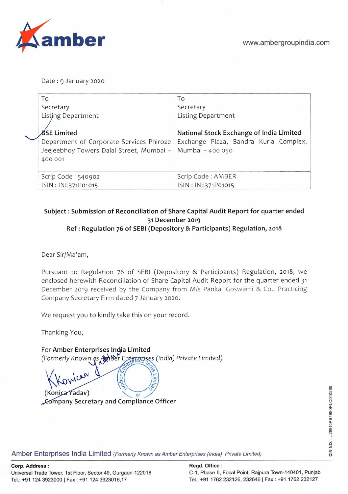Date: 9 January 2020

| To                                       | To                                       |
|------------------------------------------|------------------------------------------|
| Secretary                                | Secretary                                |
| Listing Department                       | <b>Listing Department</b>                |
| <b>BSE Limited</b>                       | National Stock Exchange of India Limited |
| Department of Corporate Services Phiroze | Exchange Plaza, Bandra Kurla Complex,    |
| Jeejeebhoy Towers Dalal Street, Mumbai - | Mumbai - 400 050                         |
| 400 001                                  |                                          |
|                                          |                                          |
| Scrip Code: 540902                       | Scrip Code: AMBER                        |
| ISIN: INE371P01015                       | ISIN: INE371P01015                       |

## **Subject: Submission of Reconciliation of Share Capital Audit Report for quarter ended 31 December** 2019 **Ref: Regulation 76 of SEBI (Depository** & **Participants) Regulation,** 2018

Dear Sir/Ma'am,

Pursuant to Regulation 76 of SEBI (Depository & Participants) Regulation, 2018, we enclosed herewith Reconciliation of Share Capital Audit Report for the quarter ended 31 December 2019 received by the Company from M/s Pankaj Goswami & Co., Practicing Company Secretary Firm dated 7 January 2020.

We request you to kindly take this on your record.

Thanking You,

For Amber Enterprises India Limited (Formerly *Known* **qs45(r <sup>E</sup> pjs,s** (India) Private Limited) mper

(Konica Yadav) **mpany Secretary and Compliance Officer** 

Amber Enterprises India Limited (Formerly Known as Amber Enterprises (India) Private Limited)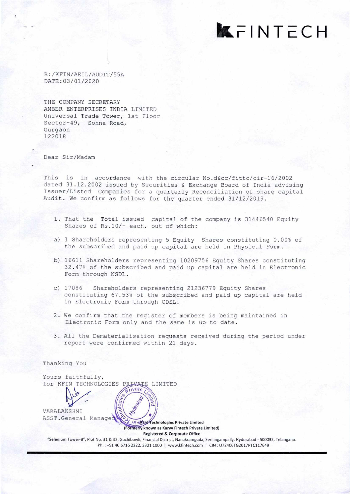**KFINTECH** 

R: /KFIN/AEIL/AUDIT/55A DATE: 03/01/2020

THE COMPANY SECRETARY AMBER ENTERPRISES INDIA LIMITED Universal Trade Tower, 1st Floor Sector-49, Sohna Road, Gurgaon 122018

Dear Sir/Madam

Thanking You

This is in accordance with the circular No.d&cc/fittc/cir-16/2002 dated 31.12.2002 issued by Securities & Exchange Board of India advising Issuer/Listed Companies for a quarterly Reconciliation of share capital Audit. We confirm as follows for the quarter ended 31/12/2019.

- 1. That the Total issued capital of the company is 31446540 Equity Shares of Rs.10/- each, out of which:
- a) 1 Shareholders representing 5 Equity Shares constituting 0.00% of the subscribed and paid up capital are held in Physical Form.
- b) 16611 Shareholders representing 10209756 Equity Shares constituting 32.47% of the subscribed and paid up capital are held in Electronic Form through NSDL.
- c) 17086 Shareholders representing 21236779 Equity Shares constituting 67.53% of the subscribed and paid up capital are held in Electronic Form through CDSL.
- 2. We confirm that the register of members is being maintained in Electronic Form only and the same is up to date.
- 3. All the Dematerialisation requests received during the period under report were confirmed within 21 days.

Yours faithfully, for KFIN TECHNOLOGIES PRIVATE LIMITED **UI - REID Technologies Private Limited** (Formerly known as Karvy Fintech Private Limited) Registered & Corporate Office "Selenium Tower-B", Plot No. 31 & 32. Gachibowli, Financial District, Nanakramguda, Serilingampally, Hyderabad - 500032, lelangana. Ph.: +91 40 6716 2222, 3321 1000 | www.kfintech.com | CIN: U72400TG2017PTC117649 VARALAKSHM I ASST .General Manage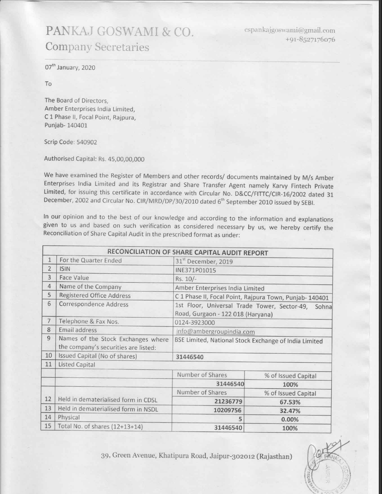## PANKAJ GOSWAMI & CO. **Company Secretaries**

cspankajgoswami@gmail.com +91-8527176076

07<sup>th</sup> January, 2020

To

The Board of Directors, Amber Enterprises India Limited, C 1 Phase II, Focal Point, Rajpura, Punjab-140401

Scrip Code: 540902

Authorised Capital: Rs. 45,00,00,000

We have examined the Register of Members and other records/ documents maintained by M/s Amber Enterprises India Limited and its Registrar and Share Transfer Agent namely Karvy Fintech Private Limited, for issuing this certificate in accordance with Circular No. D&CC/FITTC/CIR-16/2002 dated 31 December, 2002 and Circular No. CIR/MRD/DP/30/2010 dated 6<sup>th</sup> September 2010 issued by SEBI.

In our opinion and to the best of our knowledge and according to the information and explanations given to us and based on such verification as considered necessary by us, we hereby certify the Reconciliation of Share Capital Audit in the prescribed format as under:

|                |                                                                                     | RECONCILIATION OF SHARE CAPITAL AUDIT REPORT          |                                                    |
|----------------|-------------------------------------------------------------------------------------|-------------------------------------------------------|----------------------------------------------------|
| $\mathbf{1}$   | For the Quarter Ended                                                               | 31 <sup>st</sup> December, 2019                       |                                                    |
| $\overline{2}$ | <b>ISIN</b>                                                                         | INE371P01015                                          |                                                    |
| 3              | Face Value                                                                          | Rs. 10/-                                              |                                                    |
| $\overline{4}$ | Name of the Company                                                                 | Amber Enterprises India Limited                       |                                                    |
| 5              | Registered Office Address<br>C 1 Phase II, Focal Point, Rajpura Town, Punjab-140401 |                                                       |                                                    |
| 6              | Correspondence Address                                                              | Road, Gurgaon - 122 018 (Haryana)                     | 1st Floor, Universal Trade Tower, Sector-49, Sohna |
| $\overline{7}$ | Telephone & Fax Nos.                                                                | 0124-3923000                                          |                                                    |
| 8              | Email address                                                                       | info@ambergroupindia.com                              |                                                    |
| 9              | Names of the Stock Exchanges where<br>the company's securities are listed:          | BSE Limited, National Stock Exchange of India Limited |                                                    |
| 10             | Issued Capital (No of shares)                                                       | 31446540                                              |                                                    |
| 11             | <b>Listed Capital</b>                                                               |                                                       |                                                    |
|                |                                                                                     | Number of Shares                                      | % of Issued Capital                                |
|                |                                                                                     | 31446540                                              | 100%                                               |
|                |                                                                                     | Number of Shares                                      | % of Issued Capital                                |
| 12             | Held in dematerialised form in CDSL                                                 | 21236779                                              | 67.53%                                             |
| 13             | Held in dematerialised form in NSDL                                                 | 10209756                                              | 32.47%                                             |
| 14             | Physical                                                                            | 5                                                     | 0.00%                                              |
| 15             | Total No. of shares (12+13+14)                                                      | 31446540                                              | 100%                                               |

39, Green Avenue, Khatipura Road, Jaipur-302012 (Rajasthan)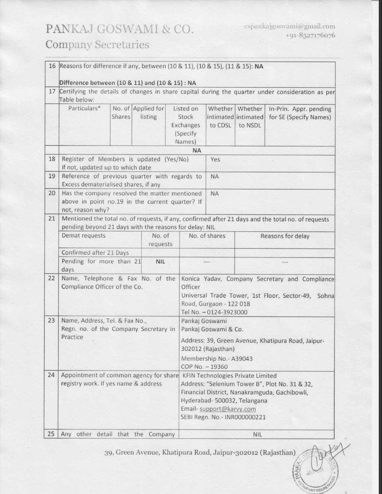## PANKAJ GOSWAMI & CO. **Company Secretaries**

**ANY SECT** 

|    | 16 Reasons for difference if any, between (10 & 11), (10 & 15), (11 & 15): NA                                                                                                                              |        |                               |                                                                                                                                                                      |                                                       |                                                                                                          |                                                                                                 |                                                  |
|----|------------------------------------------------------------------------------------------------------------------------------------------------------------------------------------------------------------|--------|-------------------------------|----------------------------------------------------------------------------------------------------------------------------------------------------------------------|-------------------------------------------------------|----------------------------------------------------------------------------------------------------------|-------------------------------------------------------------------------------------------------|--------------------------------------------------|
| 17 | Difference between (10 & 11) and (10 & 15) : NA<br>Certifying the details of changes in share capital during the quarter under consideration as per<br>Table below:                                        |        |                               |                                                                                                                                                                      |                                                       |                                                                                                          |                                                                                                 |                                                  |
|    | Particulars*                                                                                                                                                                                               | Shares | No. of Applied for<br>listing |                                                                                                                                                                      | Listed on<br>Stock<br>Exchanges<br>(Specify<br>Names) | to CDSL                                                                                                  | Whether   Whether<br>intimated intimated<br>to NSDL                                             | In-Prin. Appr. pending<br>for SE (Specify Names) |
|    |                                                                                                                                                                                                            |        |                               |                                                                                                                                                                      | <b>NA</b>                                             |                                                                                                          |                                                                                                 |                                                  |
| 18 | Register of Members is updated (Yes/No)<br>if not, updated up to which date                                                                                                                                |        |                               |                                                                                                                                                                      |                                                       | Yes                                                                                                      |                                                                                                 |                                                  |
| 19 | Reference of previous quarter with regards to<br>Excess dematerialised shares, if any                                                                                                                      |        |                               |                                                                                                                                                                      |                                                       | <b>NA</b>                                                                                                |                                                                                                 |                                                  |
| 20 | Has the company resolved the matter mentioned<br>above in point no.19 in the current quarter? If<br>not, reason why?                                                                                       |        |                               |                                                                                                                                                                      |                                                       | <b>NA</b>                                                                                                |                                                                                                 |                                                  |
| 21 | Mentioned the total no. of requests, if any, confirmed after 21 days and the total no. of requests<br>pending beyond 21 days with the reasons for delay: NIL                                               |        |                               |                                                                                                                                                                      |                                                       |                                                                                                          |                                                                                                 |                                                  |
|    | Demat requests                                                                                                                                                                                             |        | No. of<br>requests            |                                                                                                                                                                      | No. of shares                                         |                                                                                                          | Reasons for delay                                                                               |                                                  |
|    | Confirmed after 21 Days                                                                                                                                                                                    |        |                               |                                                                                                                                                                      |                                                       |                                                                                                          |                                                                                                 |                                                  |
|    | Pending for more than 21<br>days                                                                                                                                                                           |        | <b>NIL</b>                    |                                                                                                                                                                      |                                                       |                                                                                                          |                                                                                                 |                                                  |
| 22 | Name, Telephone & Fax No. of the<br>Compliance Officer of the Co.                                                                                                                                          |        |                               | Konica Yadav, Company Secretary and Compliance<br>Officer<br>Universal Trade Tower, 1st Floor, Sector-49, Sohna<br>Road, Gurgaon - 122 018<br>Tel No. - 0124-3923000 |                                                       |                                                                                                          |                                                                                                 |                                                  |
| 23 | Name, Address, Tel. & Fax No.,<br>Regn. no. of the Company Secretary in<br>Practice<br>Appointment of common agency for share<br>registry work. If yes name & address<br>Any other detail that the Company |        |                               | Pankaj Goswami                                                                                                                                                       | Pankaj Goswami & Co.                                  |                                                                                                          |                                                                                                 |                                                  |
|    |                                                                                                                                                                                                            |        |                               | Address: 39, Green Avenue, Khatipura Road, Jaipur-<br>302012 (Rajasthan)                                                                                             |                                                       |                                                                                                          |                                                                                                 |                                                  |
|    |                                                                                                                                                                                                            |        |                               | Membership No.- A39043<br>COP No. - 19360                                                                                                                            |                                                       |                                                                                                          |                                                                                                 |                                                  |
| 24 |                                                                                                                                                                                                            |        |                               |                                                                                                                                                                      | Email- support@karvy.com                              | <b>KFIN Technologies Private Limited</b><br>Hyderabad- 500032, Telangana<br>SEBI Regn. No.- INR000000221 | Address: "Selenium Tower B", Plot No. 31 & 32,<br>Financial District, Nanakramguda, Gachibowli, |                                                  |
| 25 |                                                                                                                                                                                                            |        |                               |                                                                                                                                                                      | <b>NIL</b>                                            |                                                                                                          |                                                                                                 |                                                  |

39, Green Avenue, Khatipura Road, Jaipur-302012 (Rajasthan)